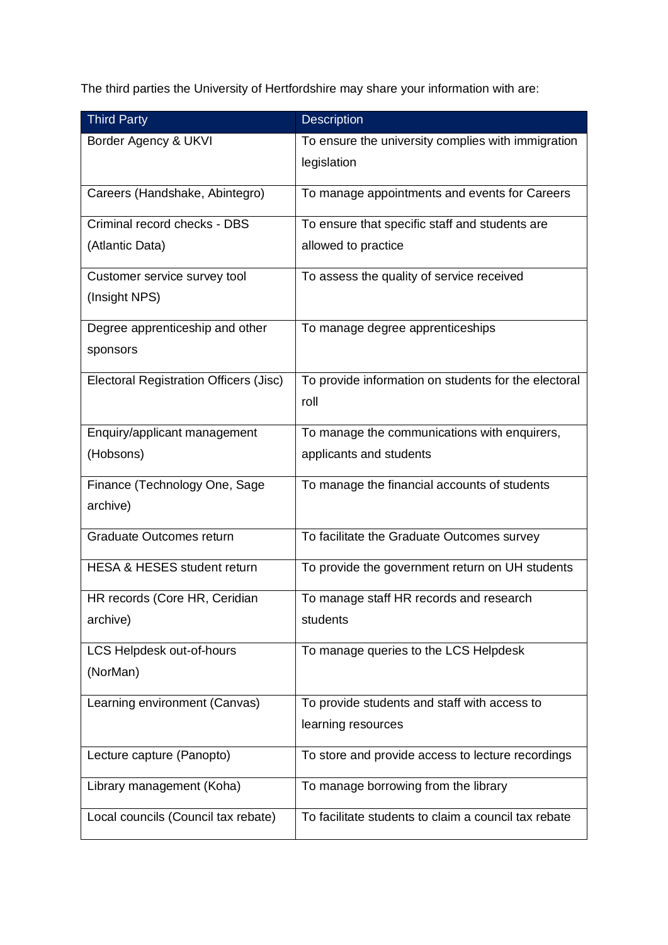The third parties the University of Hertfordshire may share your information with are:

| <b>Third Party</b>                            | <b>Description</b>                                   |
|-----------------------------------------------|------------------------------------------------------|
| Border Agency & UKVI                          | To ensure the university complies with immigration   |
|                                               | legislation                                          |
| Careers (Handshake, Abintegro)                | To manage appointments and events for Careers        |
| Criminal record checks - DBS                  | To ensure that specific staff and students are       |
| (Atlantic Data)                               | allowed to practice                                  |
| Customer service survey tool                  | To assess the quality of service received            |
| (Insight NPS)                                 |                                                      |
| Degree apprenticeship and other               | To manage degree apprenticeships                     |
| sponsors                                      |                                                      |
| <b>Electoral Registration Officers (Jisc)</b> | To provide information on students for the electoral |
|                                               | roll                                                 |
| Enquiry/applicant management                  | To manage the communications with enquirers,         |
| (Hobsons)                                     | applicants and students                              |
| Finance (Technology One, Sage                 | To manage the financial accounts of students         |
| archive)                                      |                                                      |
| Graduate Outcomes return                      | To facilitate the Graduate Outcomes survey           |
| <b>HESA &amp; HESES student return</b>        | To provide the government return on UH students      |
| HR records (Core HR, Ceridian                 | To manage staff HR records and research              |
| archive)                                      | students                                             |
| LCS Helpdesk out-of-hours                     | To manage queries to the LCS Helpdesk                |
| (NorMan)                                      |                                                      |
| Learning environment (Canvas)                 | To provide students and staff with access to         |
|                                               | learning resources                                   |
| Lecture capture (Panopto)                     | To store and provide access to lecture recordings    |
| Library management (Koha)                     | To manage borrowing from the library                 |
| Local councils (Council tax rebate)           | To facilitate students to claim a council tax rebate |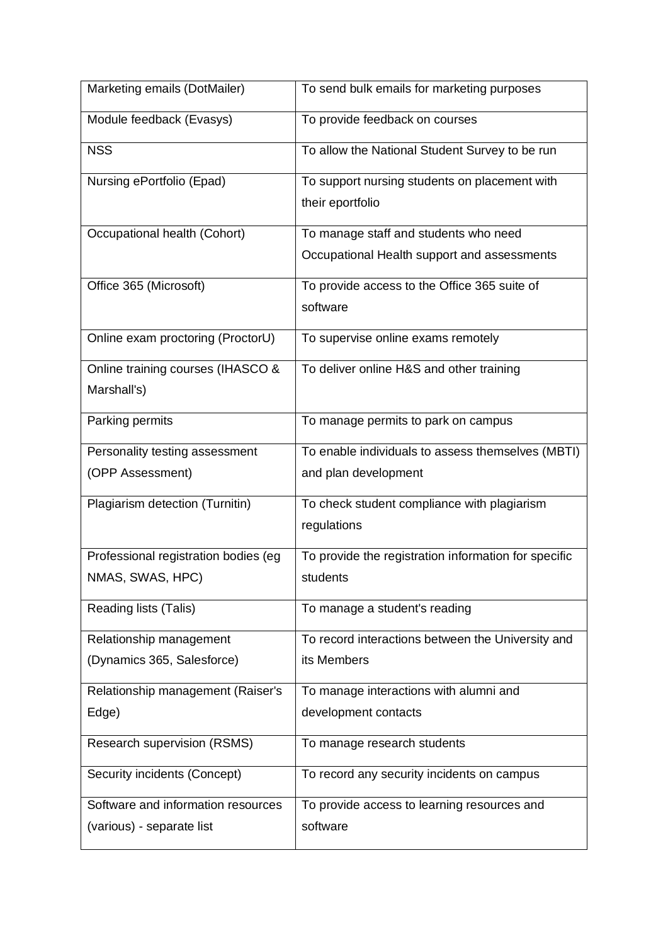| Marketing emails (DotMailer)                       | To send bulk emails for marketing purposes                                           |
|----------------------------------------------------|--------------------------------------------------------------------------------------|
| Module feedback (Evasys)                           | To provide feedback on courses                                                       |
| <b>NSS</b>                                         | To allow the National Student Survey to be run                                       |
| Nursing ePortfolio (Epad)                          | To support nursing students on placement with<br>their eportfolio                    |
| Occupational health (Cohort)                       | To manage staff and students who need<br>Occupational Health support and assessments |
| Office 365 (Microsoft)                             | To provide access to the Office 365 suite of<br>software                             |
| Online exam proctoring (ProctorU)                  | To supervise online exams remotely                                                   |
| Online training courses (IHASCO &<br>Marshall's)   | To deliver online H&S and other training                                             |
| Parking permits                                    | To manage permits to park on campus                                                  |
| Personality testing assessment<br>(OPP Assessment) | To enable individuals to assess themselves (MBTI)<br>and plan development            |
| Plagiarism detection (Turnitin)                    | To check student compliance with plagiarism<br>regulations                           |
| Professional registration bodies (eg               | To provide the registration information for specific                                 |
| NMAS, SWAS, HPC)                                   | students                                                                             |
| <b>Reading lists (Talis)</b>                       | To manage a student's reading                                                        |
| Relationship management                            | To record interactions between the University and                                    |
| (Dynamics 365, Salesforce)                         | its Members                                                                          |
| Relationship management (Raiser's                  | To manage interactions with alumni and                                               |
| Edge)                                              | development contacts                                                                 |
| <b>Research supervision (RSMS)</b>                 | To manage research students                                                          |
| Security incidents (Concept)                       | To record any security incidents on campus                                           |
| Software and information resources                 | To provide access to learning resources and                                          |
| (various) - separate list                          | software                                                                             |